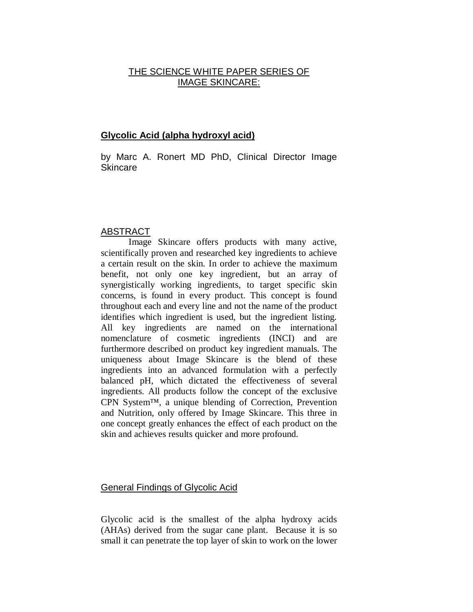# THE SCIENCE WHITE PAPER SERIES OF IMAGE SKINCARE:

# **Glycolic Acid (alpha hydroxyl acid)**

by Marc A. Ronert MD PhD, Clinical Director Image Skincare

## ABSTRACT

Image Skincare offers products with many active, scientifically proven and researched key ingredients to achieve a certain result on the skin. In order to achieve the maximum benefit, not only one key ingredient, but an array of synergistically working ingredients, to target specific skin concerns, is found in every product. This concept is found throughout each and every line and not the name of the product identifies which ingredient is used, but the ingredient listing. All key ingredients are named on the international nomenclature of cosmetic ingredients (INCI) and are furthermore described on product key ingredient manuals. The uniqueness about Image Skincare is the blend of these ingredients into an advanced formulation with a perfectly balanced pH, which dictated the effectiveness of several ingredients. All products follow the concept of the exclusive CPN System™, a unique blending of Correction, Prevention and Nutrition, only offered by Image Skincare. This three in one concept greatly enhances the effect of each product on the skin and achieves results quicker and more profound.

### General Findings of Glycolic Acid

Glycolic acid is the smallest of the alpha hydroxy acids (AHAs) derived from the sugar cane plant. Because it is so small it can penetrate the top layer of skin to work on the lower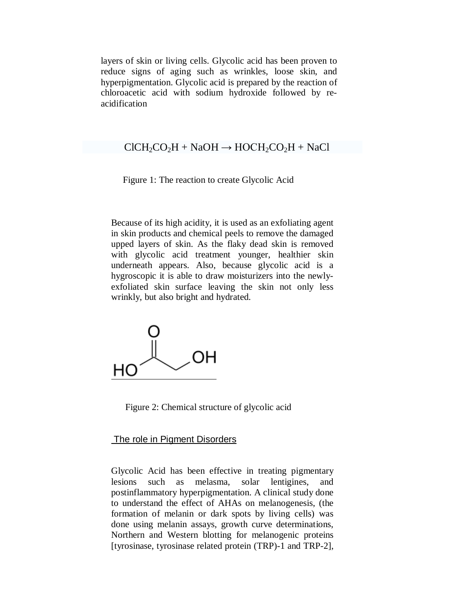layers of skin or living cells. Glycolic acid has been proven to reduce signs of aging such as wrinkles, loose skin, and hyperpigmentation. Glycolic acid is prepared by the reaction of [chloroacetic acid](http://en.wikipedia.org/wiki/Chloroacetic_acid) with [sodium hydroxide](http://en.wikipedia.org/wiki/Sodium_hydroxide) followed by reacidification

### $ClCH_2CO_2H + NaOH \rightarrow HOCH_2CO_2H + NaCl$

#### Figure 1: The reaction to create Glycolic Acid

Because of its high acidity, it is used as an exfoliating agent in skin products and chemical peels to remove the damaged upped layers of skin. As the flaky dead skin is removed with glycolic acid treatment younger, healthier skin underneath appears. Also, because glycolic acid is a hygroscopic it is able to draw moisturizers into the newlyexfoliated skin surface leaving the skin not only less wrinkly, but also bright and hydrated.



Figure 2: Chemical structure of glycolic acid

#### The role in Pigment Disorders

Glycolic Acid has been effective in treating pigmentary lesions such as melasma, solar lentigines, and postinflammatory hyperpigmentation. A clinical study done to understand the effect of AHAs on melanogenesis, (the formation of melanin or dark spots by living cells) was done using melanin assays, growth curve determinations, Northern and Western blotting for melanogenic proteins [tyrosinase, tyrosinase related protein (TRP)-1 and TRP-2],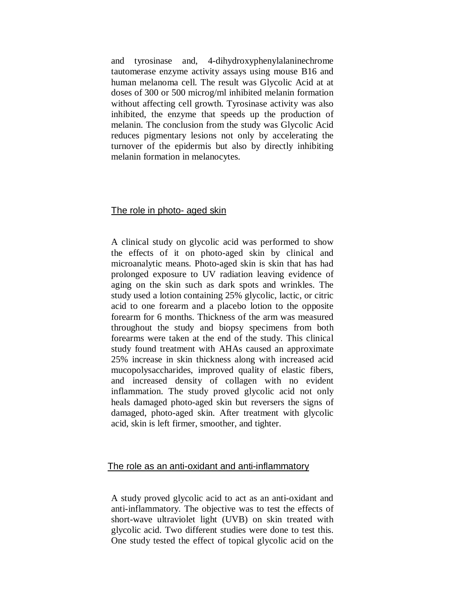and tyrosinase and, 4-dihydroxyphenylalaninechrome tautomerase enzyme activity assays using mouse B16 and human melanoma cell. The result was Glycolic Acid at at doses of 300 or 500 microg/ml inhibited melanin formation without affecting cell growth. Tyrosinase activity was also inhibited, the enzyme that speeds up the production of melanin. The conclusion from the study was Glycolic Acid reduces pigmentary lesions not only by accelerating the turnover of the epidermis but also by directly inhibiting melanin formation in melanocytes.

## The role in photo- aged skin

A clinical study on glycolic acid was performed to show the effects of it on photo-aged skin by clinical and microanalytic means. Photo-aged skin is skin that has had prolonged exposure to UV radiation leaving evidence of aging on the skin such as dark spots and wrinkles. The study used a lotion containing 25% glycolic, lactic, or citric acid to one forearm and a placebo lotion to the opposite forearm for 6 months. Thickness of the arm was measured throughout the study and biopsy specimens from both forearms were taken at the end of the study. This clinical study found treatment with AHAs caused an approximate 25% increase in skin thickness along with increased acid mucopolysaccharides, improved quality of elastic fibers, and increased density of collagen with no evident inflammation. The study proved glycolic acid not only heals damaged photo-aged skin but reversers the signs of damaged, photo-aged skin. After treatment with glycolic acid, skin is left firmer, smoother, and tighter.

### The role as an anti-oxidant and anti-inflammatory

A study proved glycolic acid to act as an anti-oxidant and anti-inflammatory. The objective was to test the effects of short-wave ultraviolet light (UVB) on skin treated with glycolic acid. Two different studies were done to test this. One study tested the effect of topical glycolic acid on the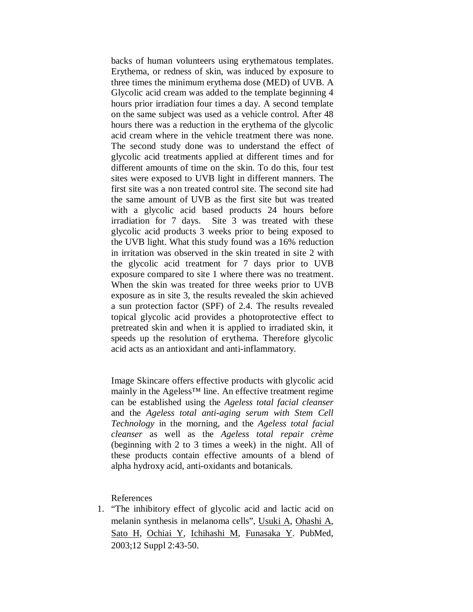backs of human volunteers using erythematous templates. Erythema, or redness of skin, was induced by exposure to three times the minimum erythema dose (MED) of UVB. A Glycolic acid cream was added to the template beginning 4 hours prior irradiation four times a day. A second template on the same subject was used as a vehicle control. After 48 hours there was a reduction in the erythema of the glycolic acid cream where in the vehicle treatment there was none. The second study done was to understand the effect of glycolic acid treatments applied at different times and for different amounts of time on the skin. To do this, four test sites were exposed to UVB light in different manners. The first site was a non treated control site. The second site had the same amount of UVB as the first site but was treated with a glycolic acid based products 24 hours before irradiation for 7 days. Site 3 was treated with these glycolic acid products 3 weeks prior to being exposed to the UVB light. What this study found was a 16% reduction in irritation was observed in the skin treated in site 2 with the glycolic acid treatment for 7 days prior to UVB exposure compared to site 1 where there was no treatment. When the skin was treated for three weeks prior to UVB exposure as in site 3, the results revealed the skin achieved a sun protection factor (SPF) of 2.4. The results revealed topical glycolic acid provides a photoprotective effect to pretreated skin and when it is applied to irradiated skin, it speeds up the resolution of erythema. Therefore glycolic acid acts as an antioxidant and anti-inflammatory.

Image Skincare offers effective products with glycolic acid mainly in the Ageless<sup>™</sup> line. An effective treatment regime can be established using the *Ageless total facial cleanser* and the *Ageless total anti-aging serum with Stem Cell Technology* in the morning, and the *Ageless total facial cleanser* as well as the *Ageless total repair crème*  (beginning with 2 to 3 times a week) in the night. All of these products contain effective amounts of a blend of alpha hydroxy acid, anti-oxidants and botanicals.

References

1. "The inhibitory effect of glycolic acid and lactic acid on melanin synthesis in melanoma cells", [Usuki A,](http://www.ncbi.nlm.nih.gov.www2.lib.ku.edu:2048/sites/entrez?Db=pubmed&Cmd=Search&Term=%22Usuki%20A%22%5BAuthor%5D&itool=EntrezSystem2.PEntrez.Pubmed.Pubmed_ResultsPanel.Pubmed_DiscoveryPanel.Pubmed_RVAbstractPlus) [Ohashi A,](http://www.ncbi.nlm.nih.gov.www2.lib.ku.edu:2048/sites/entrez?Db=pubmed&Cmd=Search&Term=%22Ohashi%20A%22%5BAuthor%5D&itool=EntrezSystem2.PEntrez.Pubmed.Pubmed_ResultsPanel.Pubmed_DiscoveryPanel.Pubmed_RVAbstractPlus) [Sato H,](http://www.ncbi.nlm.nih.gov.www2.lib.ku.edu:2048/sites/entrez?Db=pubmed&Cmd=Search&Term=%22Sato%20H%22%5BAuthor%5D&itool=EntrezSystem2.PEntrez.Pubmed.Pubmed_ResultsPanel.Pubmed_DiscoveryPanel.Pubmed_RVAbstractPlus) [Ochiai Y,](http://www.ncbi.nlm.nih.gov.www2.lib.ku.edu:2048/sites/entrez?Db=pubmed&Cmd=Search&Term=%22Ochiai%20Y%22%5BAuthor%5D&itool=EntrezSystem2.PEntrez.Pubmed.Pubmed_ResultsPanel.Pubmed_DiscoveryPanel.Pubmed_RVAbstractPlus) [Ichihashi M,](http://www.ncbi.nlm.nih.gov.www2.lib.ku.edu:2048/sites/entrez?Db=pubmed&Cmd=Search&Term=%22Ichihashi%20M%22%5BAuthor%5D&itool=EntrezSystem2.PEntrez.Pubmed.Pubmed_ResultsPanel.Pubmed_DiscoveryPanel.Pubmed_RVAbstractPlus) [Funasaka Y.](http://www.ncbi.nlm.nih.gov.www2.lib.ku.edu:2048/sites/entrez?Db=pubmed&Cmd=Search&Term=%22Funasaka%20Y%22%5BAuthor%5D&itool=EntrezSystem2.PEntrez.Pubmed.Pubmed_ResultsPanel.Pubmed_DiscoveryPanel.Pubmed_RVAbstractPlus) PubMed, 2003;12 Suppl 2:43-50.